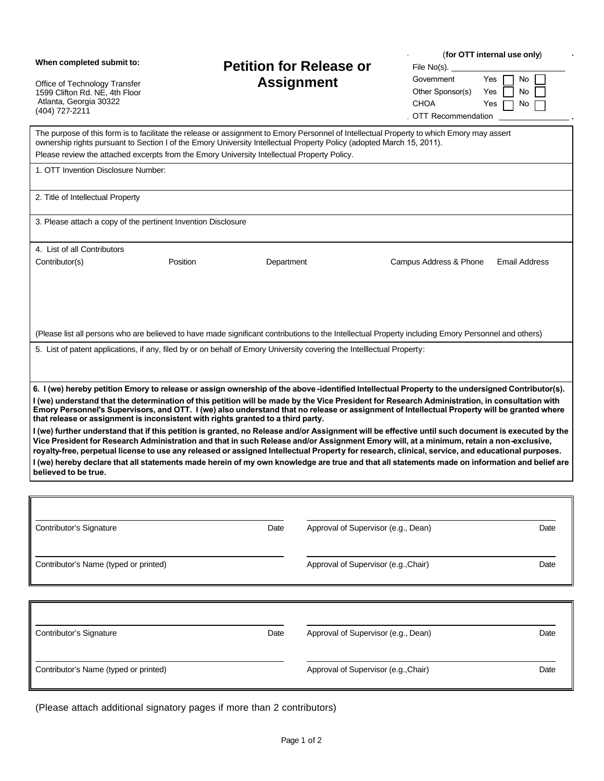| When completed submit to:<br>Office of Technology Transfer<br>1599 Clifton Rd. NE, 4th Floor<br>Atlanta, Georgia 30322<br>(404) 727-2211                                                                                                                                                                                                                                                                                                                                                                                             | <b>Petition for Release or</b><br><b>Assignment</b> |                                      | File No(s). $\overline{\phantom{a}}$<br>Government<br>Other Sponsor(s)<br><b>CHOA</b><br><b>OTT Recommendation</b> | (for OTT internal use only)<br>Yes<br>No<br>Yes<br>No<br>Yes<br>No |
|--------------------------------------------------------------------------------------------------------------------------------------------------------------------------------------------------------------------------------------------------------------------------------------------------------------------------------------------------------------------------------------------------------------------------------------------------------------------------------------------------------------------------------------|-----------------------------------------------------|--------------------------------------|--------------------------------------------------------------------------------------------------------------------|--------------------------------------------------------------------|
| The purpose of this form is to facilitate the release or assignment to Emory Personnel of Intellectual Property to which Emory may assert<br>ownership rights pursuant to Section I of the Emory University Intellectual Property Policy (adopted March 15, 2011).<br>Please review the attached excerpts from the Emory University Intellectual Property Policy.                                                                                                                                                                    |                                                     |                                      |                                                                                                                    |                                                                    |
| 1. OTT Invention Disclosure Number:                                                                                                                                                                                                                                                                                                                                                                                                                                                                                                  |                                                     |                                      |                                                                                                                    |                                                                    |
| 2. Title of Intellectual Property                                                                                                                                                                                                                                                                                                                                                                                                                                                                                                    |                                                     |                                      |                                                                                                                    |                                                                    |
| 3. Please attach a copy of the pertinent Invention Disclosure                                                                                                                                                                                                                                                                                                                                                                                                                                                                        |                                                     |                                      |                                                                                                                    |                                                                    |
| 4. List of all Contributors                                                                                                                                                                                                                                                                                                                                                                                                                                                                                                          |                                                     |                                      |                                                                                                                    |                                                                    |
| Contributor(s)<br>Position                                                                                                                                                                                                                                                                                                                                                                                                                                                                                                           | Department                                          |                                      | Campus Address & Phone                                                                                             | <b>Email Address</b>                                               |
| (Please list all persons who are believed to have made significant contributions to the Intellectual Property including Emory Personnel and others)                                                                                                                                                                                                                                                                                                                                                                                  |                                                     |                                      |                                                                                                                    |                                                                    |
| 5. List of patent applications, if any, filed by or on behalf of Emory University covering the Intelllectual Property:                                                                                                                                                                                                                                                                                                                                                                                                               |                                                     |                                      |                                                                                                                    |                                                                    |
| 6. I (we) hereby petition Emory to release or assign ownership of the above-identified Intellectual Property to the undersigned Contributor(s).<br>I (we) understand that the determination of this petition will be made by the Vice President for Research Administration, in consultation with<br>Emory Personnel's Supervisors, and OTT. I (we) also understand that no release or assignment of Intellectual Property will be granted where<br>that release or assignment is inconsistent with rights granted to a third party. |                                                     |                                      |                                                                                                                    |                                                                    |
| I (we) further understand that if this petition is granted, no Release and/or Assignment will be effective until such document is executed by the<br>Vice President for Research Administration and that in such Release and/or Assignment Emory will, at a minimum, retain a non-exclusive,<br>royalty-free, perpetual license to use any released or assigned Intellectual Property for research, clinical, service, and educational purposes.                                                                                     |                                                     |                                      |                                                                                                                    |                                                                    |
| I (we) hereby declare that all statements made herein of my own knowledge are true and that all statements made on information and belief are<br>believed to be true.                                                                                                                                                                                                                                                                                                                                                                |                                                     |                                      |                                                                                                                    |                                                                    |
|                                                                                                                                                                                                                                                                                                                                                                                                                                                                                                                                      |                                                     |                                      |                                                                                                                    |                                                                    |
|                                                                                                                                                                                                                                                                                                                                                                                                                                                                                                                                      |                                                     |                                      |                                                                                                                    |                                                                    |
| Contributor's Signature                                                                                                                                                                                                                                                                                                                                                                                                                                                                                                              | Date                                                | Approval of Supervisor (e.g., Dean)  |                                                                                                                    | Date                                                               |
| Contributor's Name (typed or printed)                                                                                                                                                                                                                                                                                                                                                                                                                                                                                                |                                                     | Approval of Supervisor (e.g., Chair) |                                                                                                                    | Date                                                               |
|                                                                                                                                                                                                                                                                                                                                                                                                                                                                                                                                      |                                                     |                                      |                                                                                                                    |                                                                    |
| Contributor's Signature                                                                                                                                                                                                                                                                                                                                                                                                                                                                                                              | Date                                                | Approval of Supervisor (e.g., Dean)  |                                                                                                                    | Date                                                               |
| Contributor's Name (typed or printed)                                                                                                                                                                                                                                                                                                                                                                                                                                                                                                |                                                     | Approval of Supervisor (e.g., Chair) |                                                                                                                    | Date                                                               |

(Please attach additional signatory pages if more than 2 contributors)